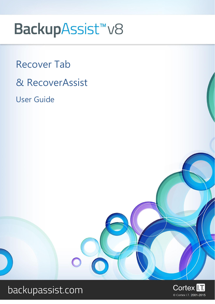# BackupAssist<sup>™</sup>v8

Recover Tab & RecoverAssist User Guide



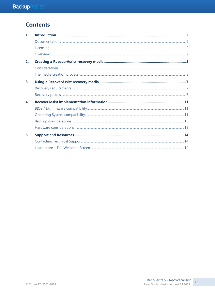# **Contents**

| $\mathbf{1}$ |  |
|--------------|--|
|              |  |
|              |  |
|              |  |
| 2.           |  |
|              |  |
|              |  |
| 3.           |  |
|              |  |
|              |  |
| 4.           |  |
|              |  |
|              |  |
|              |  |
|              |  |
| 5.           |  |
|              |  |
|              |  |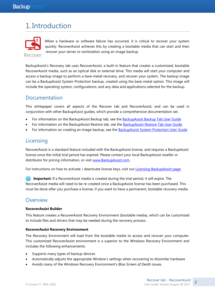# 1. Introduction



When a hardware or software failure has occurred, it is critical to recover your system quickly. RecoverAssist achieves this by creating a bootable media that can start and then recover your server or workstation using an image backup.

BackupAssist's Recovery tab uses RecoverAssist, a built-in feature that creates a customized, bootable RecoverAssist media, such as an optical disk or external drive. This media will start your computer and access a backup image to perform a bare-metal recovery, and recover your system. The backup image can be a BackupAssist System Protection backup, created using the bare-metal option. This image will include the operating system, configurations, and any data and applications selected for the backup.

# Documentation

This whitepaper covers all aspects of the Recover tab and RecoverAssist, and can be used in conjunction with other BackupAssist guides, which provide a comprehensive documentation set.

- For information on the BackupAssist Backup tab, see the [BackupAssist Backup Tab User Guide](http://www.backupassist.com/education/v8/whitepapers/backup_whitepaper.html)
- For information on the BackupAssist Restore tab, see the [BackupAssist Restore Tab User Guide](http://www.backupassist.com/education/v8/whitepapers/restore_whitepaper.html)
- For information on creating an image backup, see the **BackupAssist System Protection User Guide**

# **Licensing**

RecoverAssist is a standard feature included with the BackupAssist license, and requires a BackupAssist license once the initial trial period has expired. Please contact your local BackupAssist reseller or distributor for pricing information, or visit [www.BackupAssist.com.](http://www.backupassist.com/)

For instructions on how to activate / deactivate license keys, visit out [Licensing BackupAssist page.](http://www.backupassist.com/education/whitepapers/licensing_backupassist.html)

**Important**: If a RecoverAssist media is created during the trial period, it will expire. The RecoverAssist media will need to be re-created once a BackupAssist license has been purchased. This must be done after you purchase a license, if you want to have a permanent, bootable recovery media.

## **Overview**

#### **RecoverAssist Builder**

This feature creates a RecoverAssist Recovery Environment (bootable media), which can be customized to include files and drivers that may be needed during the recovery process.

#### **RecoverAssist Recovery Environment**

The Recovery Environment will load from the bootable media to access and recover your computer. This customized RecoverAssist environment is a superior to the Windows Recovery Environment and includes the following enhancements:

- Supports many types of backup devices
- Automatically adjusts the appropriate Window's settings when recovering to dissimilar hardware
- Avoids many of the Windows Recovery Environment's *Blue Screen of Death* issues.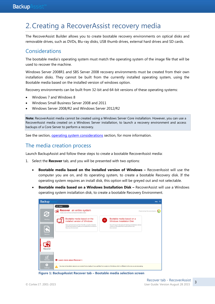# 2.Creating a RecoverAssist recovery media

The RecoverAssist Builder allows you to create bootable recovery environments on optical disks and removable drives, such as DVDs, Blu-ray disks, USB thumb drives, external hard drives and SD cards.

# Considerations

The bootable media's operating system must match the operating system of the image file that will be used to recover the machine.

Windows Server 2008R1 and SBS Server 2008 recovery environments must be created from their own installation disks. They cannot be built from the currently installed operating system, using the Bootable media based on the installed version of windows option.

Recovery environments can be built from 32-bit and 64-bit versions of these operating systems:

- Windows 7 and Windows 8
- Windows Small Business Server 2008 and 2011
- Windows Server 2008/R2 and Windows Server 2012/R2

**Note:** RecoverAssist media cannot be created using a Windows Server Core installation. However, you can use a RecoverAssist media created on a Windows Server installation, to launch a recovery environment and access backups of a Core Server to perform a recovery.

See the section, [operating system considerations](#page-11-0) section, for more information.

### The media creation process

Launch BackupAssist and follow these steps to create a bootable RecoverAssist media:

- 1. Select the **Recover** tab, and you will be presented with two options:
	- **Bootable media based on the installed version of Windows –** RecoverAssist will use the computer you are on, and its operating system, to create a bootable Recovery disk. If the operating system requires an install disk, this option will be greyed out and not selectable.
	- **Bootable media based on a Windows Installation Disk –** RecoverAssist will use a Windows operating system installation disk, to create a bootable Recovery Environment.

| <b>Backup</b>            |                                                                                                                                                                                                                  |                                                                                                                                                                                                     | Help                     |
|--------------------------|------------------------------------------------------------------------------------------------------------------------------------------------------------------------------------------------------------------|-----------------------------------------------------------------------------------------------------------------------------------------------------------------------------------------------------|--------------------------|
|                          | S Home                                                                                                                                                                                                           |                                                                                                                                                                                                     |                          |
| $\bf C$                  | <b>Recover</b> an entire system<br>國<br>Create your own RecoverAssist bootable media                                                                                                                             |                                                                                                                                                                                                     | Powered by RecoverAssist |
| Backup<br><b>Restore</b> | Bootable media based on the<br>installed version of Windows<br>RecoverAssist will use files from the currently installed<br>operating system to createyour bootable RecoverAssist<br><b>Recovery Environment</b> | Bootable media based on a<br>$\odot$<br><b>Windows Installation Disk</b><br>You will require the relevant Windows installation disk to<br>createyour bootable RecoverAssist Recovery<br>Environment |                          |
| <b>Recover</b>           |                                                                                                                                                                                                                  |                                                                                                                                                                                                     |                          |
| ♂<br>Remote              | <b>O</b> Learn more about Recover >                                                                                                                                                                              |                                                                                                                                                                                                     |                          |
| ۰<br><b>Settings</b>     | Α                                                                                                                                                                                                                | You may not be able to recover your system from a backup if you use files from a version of Windows which is different to the one you are recovering.                                               |                          |

**Figure 1: BackupAssist Recover tab – Bootable media selection screen**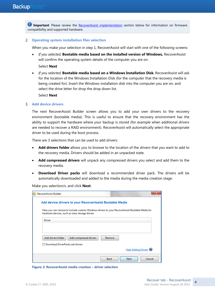**Important**: Please review the [RecoverAssist implementation](#page-11-1) section below for information on firmware compatibility and supported hardware.

#### 2. **Operating system installation files selection**

When you make your selection in step 1, RecoverAssist will start with one of the following screens:

 *If you selected*, **Bootable media based on the installed version of Windows,** RecoverAssist will confirm the operating system details of the computer you are on.

Select **Next**

 *If you selected*, **Bootable media based on a Windows Installation Disk**, RecoverAssist will ask for the location of the Windows Installation Disk (for the computer that the recovery media is being created for). Insert the Windows installation disk into the computer you are on, and select the drive letter for drop the drop down list.

Select **Next**

#### 3. **Add device drivers**

The next RecoverAssist Builder screen allows you to add your own drivers to the recovery environment (bootable media). This is useful to ensure that the recovery environment has the ability to support the hardware where your backup is stored (for example when additional drivers are needed to recover a RAID environment). RecoverAssist will automatically select the appropriate driver to be used during the boot process.

There are 3 selections that can be used to add drivers:

- **Add drivers folder** allows you to browse to the location of the drivers that you want to add to the recovery media. Drivers should be added in an unpacked state.
- **Add compressed drivers** will unpack any compressed drivers you select and add them to the recovery media.
- **Download Driver packs** will download a recommended driver pack. The drivers will be automatically downloaded and added to the media during the media creation stage.

Make you selection/s, and click **Next**.

| RecoverAssist Builder                                   | x                                                                                              |
|---------------------------------------------------------|------------------------------------------------------------------------------------------------|
| Add device drivers to your RecoverAssist Bootable Media |                                                                                                |
| hardware devices, such as mass storage drivers          | Here you can choose to include custom Windows drivers to your RecoverAssist Bootable Media for |
| <b>Driver</b>                                           |                                                                                                |
|                                                         |                                                                                                |
| Add drivers folder<br>Add compressed drivers            | Remove                                                                                         |
| Download DriverPacks.net drivers                        |                                                                                                |
|                                                         | Help Adding Drivers                                                                            |
|                                                         | Cancel<br><b>Back</b><br>Next                                                                  |

**Figure 2: RecoverAssist media creation – driver selection**

4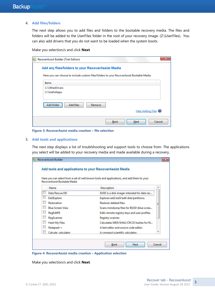#### 4. **Add files/folders**

The next step allows you to add files and folders to the bootable recovery media. The files and folders will be added to the UserFiles folder in the root of your recovery image. (Z:\UserFiles). You can also add drivers that you do not want to be loaded when the system boots.

Make you selection/s and click **Next**.

| Add any files/folders to your RecoverAssist Media                                                 |        |                                |
|---------------------------------------------------------------------------------------------------|--------|--------------------------------|
| Here you can choose to include custom files/folders to your RecoverAssist Bootable Media<br>Items |        |                                |
| C:\OtherDrivers<br>C:\UsefulApps                                                                  |        |                                |
| Add files<br>Add folder                                                                           | Remove |                                |
|                                                                                                   |        | Help Adding Files <sup>®</sup> |

**Figure 3: RecoverAssist media creation – file selection**

#### 5. **Add tools and applications**

The next step displays a list of troublshooting and support tools to choose from. The applications you select will be added to your recovery media and made available during a recovery.

| RecoverAssist Bootable Media | Here you can select from a set of well known tools and applications, and add them to your |  |
|------------------------------|-------------------------------------------------------------------------------------------|--|
| Name                         | Description                                                                               |  |
| Data Rescue DE               | DrDD is a disk imager intended for data rec                                               |  |
| Ext2Explore                  | Explores ext2/ext3/ext4 disk/partitions.                                                  |  |
| Restoration                  | Restores deleted files.                                                                   |  |
| <b>Blue Screen View</b>      | Scans minidump files for BSOD (blue scree                                                 |  |
| RegEditPE                    | Edits remote registry keys and user profiles.                                             |  |
| RegScanner                   | Registry scanner.                                                                         |  |
| Hash My Files                | Calculates MD5/SHA1/CRC32 hashes for fil                                                  |  |
| Notepad++                    | A text editor and source code editor.                                                     |  |
| Calcute calculator           | A compact scientific calculator.                                                          |  |

**Figure 4: RecoverAssist media creation – Application selection**

Make you selection/s and click **Next**.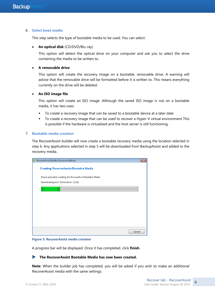#### 6. **Select boot media**

This step selects the type of bootable media to be used. You can select:

#### **An optical disk** (CD/DVD/Blu-ray)

This option will detect the optical drive on your computer and ask you to select the drive containing the media to be written to.

#### **A removable drive**

This option will create the recovery image on a bootable, removable drive. A warning will advise that the removable drive will be formatted before it is written to. This means everything currently on the drive will be deleted.

#### **An ISO image file**

This option will create an ISO image. Although the saved ISO image is not on a bootable media, it has two uses:

- To create a recovery image that can be saved to a bootable device at a later date
- To create a recovery image that can be used to recover a Hyper-V virtual environment This is possible if the hardware is virtualized and the host server is still functioning.

#### 7. **Bootable media creation**

The RecoverAssist builder will now create a bootable recovery media using the location selected in step 6. Any applications selected in step 5 will be downloaded from BackupAssist and added to the recovery media.

| RecoverAssist Builder (Licensed Edition)                    | ж |
|-------------------------------------------------------------|---|
| <b>Creating RecoverAssist Bootable Media</b>                |   |
| Please wait while creating the RecoverAssist Bootable Media |   |
| Downloading tool "Restoration" (3/10)                       |   |
|                                                             |   |
|                                                             |   |
|                                                             |   |
|                                                             |   |
|                                                             |   |
|                                                             |   |
|                                                             |   |
| Cancel                                                      |   |

**Figure 5: RecoverAssist media creation**

A progress bar will be displayed. Once it has completed, click **finish**.

#### **The RecoverAssist Bootable Media has now been created.**

**Note**: When the builder job has completed, you will be asked if you wish to make an additional RecoverAssist media with the same settings.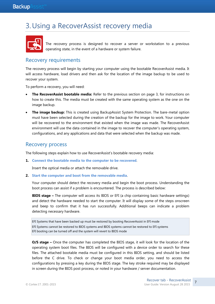# 3.Using a RecoverAssist recovery media



The recovery process is designed to recover a server or workstation to a previous operating state, in the event of a hardware or system failure.

## Recovery requirements

The recovery process will begin by starting your computer using the bootable RecoverAssist media. It will access hardware, load drivers and then ask for the location of the image backup to be used to recover your system.

To perform a recovery, you will need:

- **The RecoverAssist bootable media:** Refer to the previous section on page 3, for instructions on how to create this. The media must be created with the same operating system as the one on the image backup.
- **The image backup:** This is created using BackupAssist System Protection. The bare-metal option must have been selected during the creation of the backup for the image to work. Your computer will be recovered to the environment that existed when the image was made. The RecoverAssist environment will use the data contained in the image to recover the computer's operating system, configurations, and any applications and data that were selected when the backup was made.

### Recovery process

The following steps explain how to use RecoverAssist's bootable recovery media:

**1. Connect the bootable media to the computer to be recovered**.

Insert the optical media or attach the removable drive.

**2. Start the computer and boot from the removable media**.

Your computer should detect the recovery media and begin the boot process. Understanding the boot process can assist if a problem is encountered. The process is described below:

**BIOS stage –** The computer will access its BIOS or EFI (a chip containing basic hardware settings) and detect the hardware needed to start the computer. It will display some of the steps onscreen and beep to confirm that it has run successfully. Additional beeps can indicate a problem detecting necessary hardware.

EFI Systems that have been backed up must be restored by booting RecoverAssist in EFI mode EFI Systems cannot be restored to BIOS systems and BIOS systems cannot be restored to EFI systems EFI booting can be turned off and the system will revert to BIOS mode

**O/S stage –** Once the computer has completed the BIOS stage, it will look for the location of the operating system boot files. The BIOS will be configured with a device order to search for these files. The attached bootable media must be configured in this BIOS setting, and should be listed before the C drive. To check or change your boot media order, you need to access the configurations by pressing a key during the BIOS stage. The key stroke required may be displayed in screen during the BIOS post process, or noted in your hardware / server documentation.

7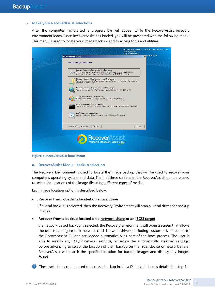#### **3. Make your RecoverAssist selections**

After the computer has started, a progress bar will appear while the RecoverAssist recovery environment loads. Once RecoverAssist has loaded, you will be presented with the following menu. This menu is used to locate your image backup, and to access tools and utilities.

|                                                                                                                                                                                                                             | <b>Fully licensed version</b><br>X <sup>34-D3C67-9742D</sup> |
|-----------------------------------------------------------------------------------------------------------------------------------------------------------------------------------------------------------------------------|--------------------------------------------------------------|
| What would you like to do?                                                                                                                                                                                                  |                                                              |
| Recover from a backup located on a local drive<br>Recover your system from a RecoverAssist image backup stored on any locally attached<br>storage, such as a local hard drive, external hard drive, or CD/DVD/Blu-ray drive |                                                              |
| Recover from a backup located on a network share<br>Recover your system from a RecoverAssist image backup stored on a network share, such as a<br>NAS device or remote server                                               |                                                              |
| Recover from a backup located on an iSCSI target<br>Recover your system from a RecoverAssist image backup stored on an ISCSI target                                                                                         |                                                              |
| <b>Repair your installation of Windows</b><br>You have recovered from a backup but Windows will not boot (BSOD errors)                                                                                                      |                                                              |
| Launch a command prompt window<br>Launch a command prompt window for troubleshooting purposes or to run specific commands                                                                                                   |                                                              |
| <b>Useful tools and applications</b><br>Tools and applications that may be useful within the Recovery Environment                                                                                                           |                                                              |
| Load driver<br>Mount VHD<br>Support                                                                                                                                                                                         | Cancel                                                       |
| Recover<br>Windows <sup>®</sup> Recovery Made Easy!                                                                                                                                                                         |                                                              |
|                                                                                                                                                                                                                             | <b>RecoverAssist (Debug)</b>                                 |

**Figure 6: RecoverAssist boot menu**

#### **a. RecoverAssist Menu – backup selection**

The Recovery Environment is used to locate the image backup that will be used to recover your computer's operating system and data. The first three options in the RecoverAssist menu are used to select the locations of the image file using different types of media.

Each image location option is described below:

#### **Recover from a backup located on a local drive**

If a local backup is selected, then the Recovery Environment will scan all local drives for backup images.

#### **Recover from a backup located on a network share or an iSCSI target**

If a network based backup is selected, the Recovery Environment will open a screen that allows the user to configure their network card. Network drivers, including custom drivers added to the RecoverAssist Builder, are loaded automatically as part of the boot process. The user is able to modify any TCP/IP network settings, or review the automatically assigned settings, before advancing to select the location of their backup on the iSCSI device or network share. RecoverAssist will search the specified location for backup images and display any images found.

**These selections can be used to access a backup inside a Data container as detailed in step 4.**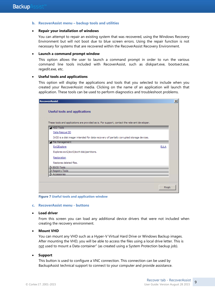#### **b. RecoverAssist menu – backup tools and utilities**

#### **Repair your installation of windows**

You can attempt to repair an existing system that was recovered, using the Windows Recovery Environment but will not boot due to blue screen errors. Using the repair function is not necessary for systems that are recovered within the RecoverAssist Recovery Environment.

#### **Launch a command prompt window**

This option allows the user to launch a command prompt in order to run the various command line tools included with RecoverAssist, such as diskpart.exe, bootsect.exe, regedit.exe, etc.

#### **Useful tools and applications**

This option will display the applications and tools that you selected to include when you created your RecoverAssist media. Clicking on the name of an application will launch that application. These tools can be used to perform diagnostics and troubleshoot problems.

| Useful tools and applications<br>These tools and applications are provided as is. For support, contact the relevant developer.<br>A HDD Tools | <b>RecoverAssist</b> | $\vert x \vert$ |
|-----------------------------------------------------------------------------------------------------------------------------------------------|----------------------|-----------------|
|                                                                                                                                               |                      |                 |
|                                                                                                                                               |                      |                 |
|                                                                                                                                               |                      |                 |
|                                                                                                                                               |                      |                 |
|                                                                                                                                               |                      |                 |
| Data Rescue DD                                                                                                                                |                      |                 |
| DrDD is a disk imager intended for data recovery of partially corrupted storage devices.                                                      |                      |                 |
| File Management                                                                                                                               |                      |                 |
| Ext2Explore<br><b>EULA</b>                                                                                                                    |                      |                 |
| Explores ext2/ext3/ext4 disk/partitions.                                                                                                      |                      |                 |
| Restoration                                                                                                                                   |                      |                 |
| Restores deleted files.                                                                                                                       |                      |                 |
| BSOD Tools                                                                                                                                    |                      |                 |
| Registry Tools<br>Accessories                                                                                                                 |                      |                 |
|                                                                                                                                               |                      |                 |
|                                                                                                                                               |                      |                 |
| Finish                                                                                                                                        |                      |                 |

**Figure 7 Useful tools and application window**

#### **c. RecoverAssist menu - buttons**

**Load driver**

From this screen you can load any additional device drivers that were not included when creating the recovery environment.

#### **Mount VHD**

You can mount any VHD such as a Hyper-V Virtual Hard Drive or Windows Backup images. After mounting the VHD, you will be able to access the files using a local drive letter. This is not used to mount a Data container" (as created using a System Protection backup job).

#### **Support**

This button is used to configure a VNC connection. This connection can be used by BackupAssist technical support to connect to your computer and provide assistance.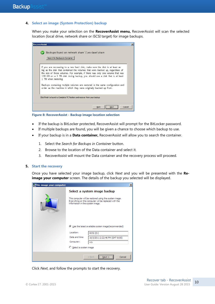#### **4. Select an image (System Protection) backup**

When you make your selection on the **RecoverAssist menu,** RecoverAssist will scan the selected location (local drive, network share or iSCSI target) for image backups.

| <b>RecoverAssist</b>                                                                                                                                                                                                                                                                                                                                 |        |
|------------------------------------------------------------------------------------------------------------------------------------------------------------------------------------------------------------------------------------------------------------------------------------------------------------------------------------------------------|--------|
| Backups found on network share \\ws-dave\share<br>Search for Backups in Container                                                                                                                                                                                                                                                                    |        |
| If you are recovering to a new hard disk, make sure the disk is at least as<br>big as the disk that contained the volumes that were backed up, regardless of<br>the size of those volumes. For example, if there was only one volume that was<br>100 GB on a 1 TB disk during backup, you should use a disk that is at least<br>1 TB when restoring. |        |
| Backups containing multiple volumes are restored in the same configuration and<br>order as the machine in which they were originally backed up from.                                                                                                                                                                                                 |        |
| Click Finish to launch a Complete PC Restore and recover from your backup                                                                                                                                                                                                                                                                            |        |
| <b>Back</b><br>Next                                                                                                                                                                                                                                                                                                                                  | Cancel |

**Figure 8: RecoverAssist - Backup image location selection**

- If the backup is BitLocker protected, RecoverAssist will prompt for the BitLocker password.
- If multiple backups are found, you will be given a chance to choose which backup to use.
- If your backup is in a **Data container,** RecoverAssist will allow you to search the container.
	- 1. Select the *Search for Backups in Container* button.
	- 2. Browse to the location of the Data container and select it.
	- 3. RecoverAssist will mount the Data container and the recovery process will proceed.

#### **5. Start the recovery**

Once you have selected your image backup, click *Next* and you will be presented with the **Reimage your computer** screen. The details of the backup you selected will be displayed.

| $\pmb{\times}$<br>Re-image your computer |                                                                                                                                                                                     |  |  |  |
|------------------------------------------|-------------------------------------------------------------------------------------------------------------------------------------------------------------------------------------|--|--|--|
|                                          | Select a system image backup<br>This computer will be restored using the system image.<br>Everything on this computer will be replaced with the<br>information in the system image. |  |  |  |
|                                          | ⊙ Use the latest available system image(recommended)<br>Location:<br>iSCSI (D:)<br>Date and time:<br>10/3/2011 2:22:46 PM (GMT-8:00)<br>Computer:<br>WS·<br>C Select a system image |  |  |  |
| <br>Cancel<br>$<$ Back<br>Nex            |                                                                                                                                                                                     |  |  |  |

Click *Next*, and follow the prompts to start the recovery.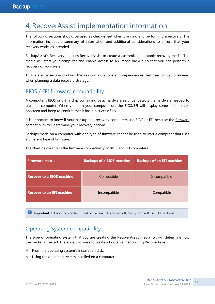# <span id="page-11-1"></span>4.RecoverAssist implementation information

The following sections should be used as check-sheet when planning and performing a recovery. The information includes a summary of information and additional considerations to ensure that your recovery works as intended.

BackupAssist's Recovery tab uses RecoverAssist to create a customized, bootable recovery media. The media will start your computer and enable access to an image backup so that you can perform a recovery of your system.

This reference section contains the key configurations and dependences that need to be considered when planning a data recovery strategy.

# BIOS / EFI firmware compatibility

A computer's BIOS or EFI (a chip containing basic hardware settings) detects the hardware needed to start the computer. When you turn your computer on, the BIOS/EFI will display some of the steps onscreen and beep to confirm that it has run successfully.

It is important to know if your backup and recovery computers use BIOS or EFI because the firmware compatibility will determine your recovery options.

Backups made on a computer with one type of firmware cannot be used to start a computer that uses a different type of firmware.

| <b>Firmware matrix</b>           | <b>Backups of a BIOS machine</b> | <b>Backups of an EFI machine</b> |
|----------------------------------|----------------------------------|----------------------------------|
| <b>Recover to a BIOS machine</b> | Compatible                       | Incompatible                     |
| <b>Recover to an EFI machine</b> | Incompatible                     | Compatible                       |

The chart below shows the firmware compatibility of BIOS and EFI computers.

*Important: EFI booting can be turned off. When EFI is turned off, the system will use BIOS to boot.* 

# <span id="page-11-0"></span>Operating System compatibility

The type of operating system that you are creating the RecoverAssist media for, will determine how the media is created. There are two ways to create a bootable media using RecoverAssist:

- From the operating system's installation disk.
- $\bullet$  Using the operating system installed on a computer.

11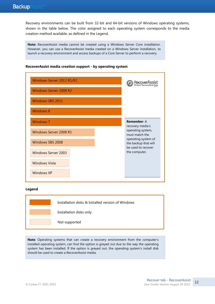Recovery environments can be built from 32-bit and 64-bit versions of Windows operating systems, shown in the table below. The color assigned to each operating system corresponds to the media creation method available, as defined in the Legend.

**Note:** RecoverAssist media cannot be created using a Windows Server Core installation. However, you can use a RecoverAssist media created on a Windows Server installation, to launch a recovery environment and access backups of a Core Server to perform a recovery.



#### **RecoverAssist media creation support - by operating system**

#### **Legend**



**Note**: Operating systems that can create a recovery environment from the computer's installed operating system, can find the option is greyed out due to the way the operating system has been installed. If the option is greyed out, the operating system's install disk should be used to create a RecoverAssist media.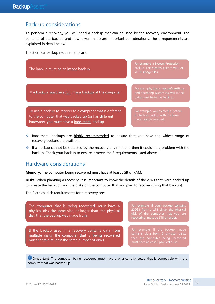## Back up considerations

To perform a recovery, you will need a backup that can be used by the recovery environment. The contents of the backup and how it was made are important considerations. These requirements are explained in detail below.

The 3 critical backup requirements are:



- Bare-metal backups are highly recommended to ensure that you have the widest range of recovery options are available.
- If a backup cannot be detected by the recovery environment, then it could be a problem with the backup. Check your backup to ensure it meets the 3 requirements listed above.

### Hardware considerations

**Memory:** The computer being recovered must have at least 2GB of RAM.

**Disks:** When planning a recovery, it is important to know the details of the disks that were backed up (to create the backup), and the disks on the computer that you plan to recover (using that backup).

The 2 critical disk requirements for a recovery are:

The computer that is being recovered, must have a physical disk the same size, or larger than, the physical disk that the backup was made from.

If the backup used in a recovery contains data from multiple disks, the computer that is being recovered must contain at least the same number of disks.

**Important**: The computer being recovered must have a physical disk setup that is compatible with the computer that was backed up.